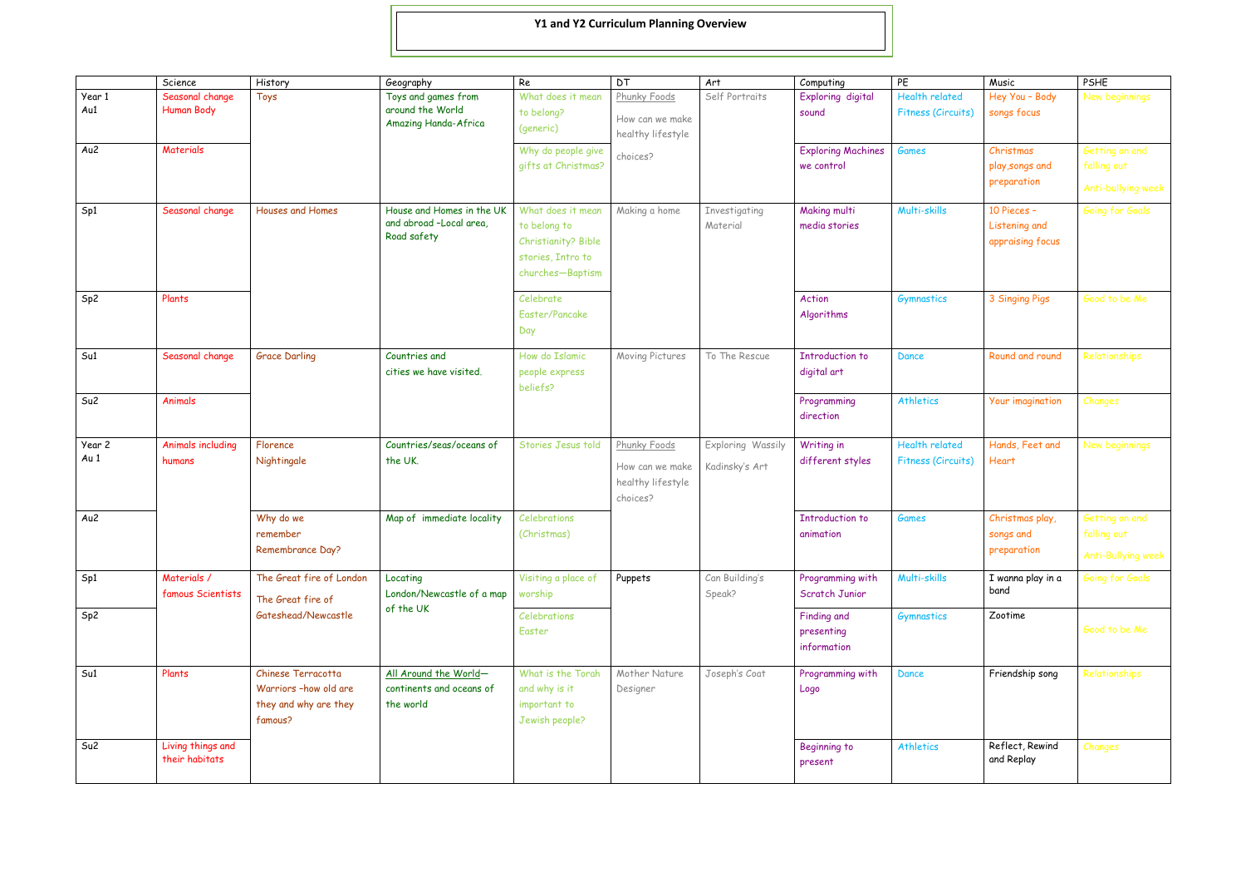|                | Science                              | History                                                                         | Geography                                                           | Re                                                                                                | <b>DT</b>                                                        | Art                                 | Computing                                | PE                                          | Music                                            | PSHE                                                |
|----------------|--------------------------------------|---------------------------------------------------------------------------------|---------------------------------------------------------------------|---------------------------------------------------------------------------------------------------|------------------------------------------------------------------|-------------------------------------|------------------------------------------|---------------------------------------------|--------------------------------------------------|-----------------------------------------------------|
| Year 1<br>Au1  | Seasonal change<br><b>Human Body</b> | Toys                                                                            | Toys and games from<br>around the World<br>Amazing Handa-Africa     | What does it mean<br>to belong?<br>(generic)                                                      | Phunky Foods<br>How can we make<br>healthy lifestyle             | Self Portraits                      | Exploring digital<br>sound               | <b>Health related</b><br>Fitness (Circuits) | Hey You - Body<br>songs focus                    | New beginnings                                      |
| Au2            | <b>Materials</b>                     |                                                                                 |                                                                     | Why do people give<br>gifts at Christmas?                                                         | choices?                                                         |                                     | <b>Exploring Machines</b><br>we control  | <b>Games</b>                                | Christmas<br>play, songs and<br>preparation      | Getting on and<br>falling out<br>Anti-bullying week |
| Sp1            | Seasonal change                      | Houses and Homes                                                                | House and Homes in the UK<br>and abroad -Local area,<br>Road safety | What does it mean<br>to belong to<br>Christianity? Bible<br>stories, Intro to<br>churches-Baptism | Making a home                                                    | Investigating<br>Material           | Making multi<br>media stories            | Multi-skills                                | 10 Pieces -<br>Listening and<br>appraising focus | Going for Goals                                     |
| Sp2            | Plants                               |                                                                                 |                                                                     | Celebrate<br>Easter/Pancake<br>Day                                                                |                                                                  |                                     | Action<br>Algorithms                     | Gymnastics                                  | 3 Singing Pigs                                   | Good to be Me                                       |
| Su1            | Seasonal change                      | <b>Grace Darling</b>                                                            | Countries and<br>cities we have visited.                            | How do Islamic<br>people express<br>beliefs?                                                      | Moving Pictures                                                  | To The Rescue                       | Introduction to<br>digital art           | Dance                                       | Round and round                                  | Relationships                                       |
| Su2            | Animals                              |                                                                                 |                                                                     |                                                                                                   |                                                                  |                                     | Programming<br>direction                 | <b>Athletics</b>                            | Your imagination                                 | Changes                                             |
| Year 2<br>Au 1 | Animals including<br>humans          | Florence<br>Nightingale                                                         | Countries/seas/oceans of<br>the UK.                                 | Stories Jesus told                                                                                | Phunky Foods<br>How can we make<br>healthy lifestyle<br>choices? | Exploring Wassily<br>Kadinsky's Art | Writing in<br>different styles           | <b>Health related</b><br>Fitness (Circuits) | Hands, Feet and<br><b>Heart</b>                  | New beginnings                                      |
| Au2            |                                      | Why do we<br>remember<br>Remembrance Day?                                       | Map of immediate locality                                           | Celebrations<br>(Christmas)                                                                       |                                                                  |                                     | <b>Introduction to</b><br>animation      | <b>Games</b>                                | Christmas play,<br>songs and<br>preparation      | Getting on and<br>falling out<br>Anti-Bullying week |
| Sp1            | Materials /<br>famous Scientists     | The Great fire of London<br>The Great fire of<br>Gateshead/Newcastle            | Locating<br>London/Newcastle of a map<br>of the UK                  | Visiting a place of<br>worship                                                                    | Puppets                                                          | Can Building's<br>Speak?            | Programming with<br>Scratch Junior       | Multi-skills                                | I wanna play in a<br>band                        | Going for Goals                                     |
| Sp2            |                                      |                                                                                 |                                                                     | Celebrations<br>Easter                                                                            |                                                                  |                                     | Finding and<br>presenting<br>information | Gymnastics                                  | Zootime                                          | Good to be Me                                       |
| Su1            | Plants                               | Chinese Terracotta<br>Warriors -how old are<br>they and why are they<br>famous? | All Around the World-<br>continents and oceans of<br>the world      | What is the Torah<br>and why is it<br>important to<br>Jewish people?                              | Mother Nature<br>Designer                                        | Joseph's Coat                       | Programming with<br>Logo                 | Dance                                       | Friendship song                                  | Relationships                                       |
| Su2            | Living things and<br>their habitats  |                                                                                 |                                                                     |                                                                                                   |                                                                  |                                     | Beginning to<br>present                  | <b>Athletics</b>                            | Reflect, Rewind<br>and Replay                    | Changes                                             |

## **Y1 and Y2 Curriculum Planning Overview**